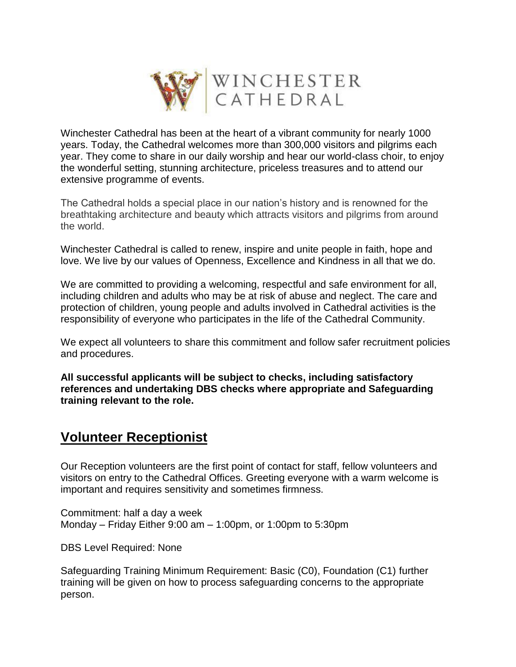

Winchester Cathedral has been at the heart of a vibrant community for nearly 1000 years. Today, the Cathedral welcomes more than 300,000 visitors and pilgrims each year. They come to share in our daily worship and hear our world-class choir, to enjoy the wonderful setting, stunning architecture, priceless treasures and to attend our extensive programme of events.

The Cathedral holds a special place in our nation's history and is renowned for the breathtaking architecture and beauty which attracts visitors and pilgrims from around the world.

Winchester Cathedral is called to renew, inspire and unite people in faith, hope and love. We live by our values of Openness, Excellence and Kindness in all that we do.

We are committed to providing a welcoming, respectful and safe environment for all, including children and adults who may be at risk of abuse and neglect. The care and protection of children, young people and adults involved in Cathedral activities is the responsibility of everyone who participates in the life of the Cathedral Community.

We expect all volunteers to share this commitment and follow safer recruitment policies and procedures.

**All successful applicants will be subject to checks, including satisfactory references and undertaking DBS checks where appropriate and Safeguarding training relevant to the role.**

# **Volunteer Receptionist**

Our Reception volunteers are the first point of contact for staff, fellow volunteers and visitors on entry to the Cathedral Offices. Greeting everyone with a warm welcome is important and requires sensitivity and sometimes firmness.

Commitment: half a day a week Monday – Friday Either 9:00 am – 1:00pm, or 1:00pm to 5:30pm

DBS Level Required: None

Safeguarding Training Minimum Requirement: Basic (C0), Foundation (C1) further training will be given on how to process safeguarding concerns to the appropriate person.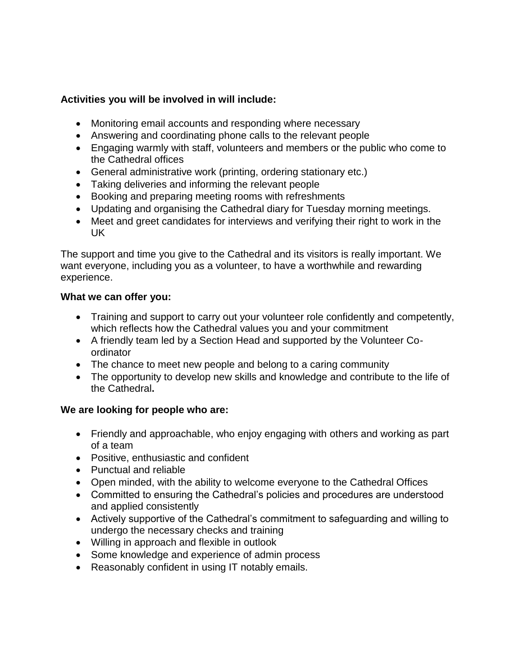# **Activities you will be involved in will include:**

- Monitoring email accounts and responding where necessary
- Answering and coordinating phone calls to the relevant people
- Engaging warmly with staff, volunteers and members or the public who come to the Cathedral offices
- General administrative work (printing, ordering stationary etc.)
- Taking deliveries and informing the relevant people
- Booking and preparing meeting rooms with refreshments
- Updating and organising the Cathedral diary for Tuesday morning meetings.
- Meet and greet candidates for interviews and verifying their right to work in the UK

The support and time you give to the Cathedral and its visitors is really important. We want everyone, including you as a volunteer, to have a worthwhile and rewarding experience.

#### **What we can offer you:**

- Training and support to carry out your volunteer role confidently and competently, which reflects how the Cathedral values you and your commitment
- A friendly team led by a Section Head and supported by the Volunteer Coordinator
- The chance to meet new people and belong to a caring community
- The opportunity to develop new skills and knowledge and contribute to the life of the Cathedral**.**

## **We are looking for people who are:**

- Friendly and approachable, who enjoy engaging with others and working as part of a team
- Positive, enthusiastic and confident
- Punctual and reliable
- Open minded, with the ability to welcome everyone to the Cathedral Offices
- Committed to ensuring the Cathedral's policies and procedures are understood and applied consistently
- Actively supportive of the Cathedral's commitment to safeguarding and willing to undergo the necessary checks and training
- Willing in approach and flexible in outlook
- Some knowledge and experience of admin process
- Reasonably confident in using IT notably emails.